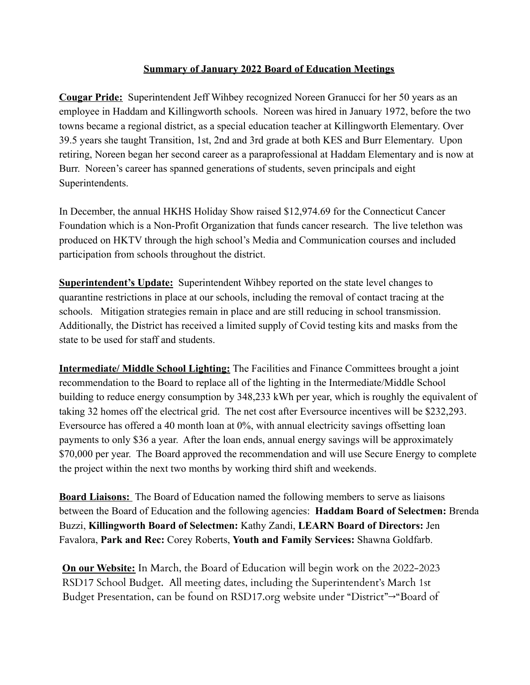## **Summary of January 2022 Board of Education Meetings**

**Cougar Pride:** Superintendent Jeff Wihbey recognized Noreen Granucci for her 50 years as an employee in Haddam and Killingworth schools. Noreen was hired in January 1972, before the two towns became a regional district, as a special education teacher at Killingworth Elementary. Over 39.5 years she taught Transition, 1st, 2nd and 3rd grade at both KES and Burr Elementary. Upon retiring, Noreen began her second career as a paraprofessional at Haddam Elementary and is now at Burr. Noreen's career has spanned generations of students, seven principals and eight Superintendents.

In December, the annual HKHS Holiday Show raised \$12,974.69 for the Connecticut Cancer Foundation which is a Non-Profit Organization that funds cancer research. The live telethon was produced on HKTV through the high school's Media and Communication courses and included participation from schools throughout the district.

**Superintendent's Update:** Superintendent Wihbey reported on the state level changes to quarantine restrictions in place at our schools, including the removal of contact tracing at the schools. Mitigation strategies remain in place and are still reducing in school transmission. Additionally, the District has received a limited supply of Covid testing kits and masks from the state to be used for staff and students.

**Intermediate/ Middle School Lighting:** The Facilities and Finance Committees brought a joint recommendation to the Board to replace all of the lighting in the Intermediate/Middle School building to reduce energy consumption by 348,233 kWh per year, which is roughly the equivalent of taking 32 homes off the electrical grid. The net cost after Eversource incentives will be \$232,293. Eversource has offered a 40 month loan at 0%, with annual electricity savings offsetting loan payments to only \$36 a year. After the loan ends, annual energy savings will be approximately \$70,000 per year. The Board approved the recommendation and will use Secure Energy to complete the project within the next two months by working third shift and weekends.

**Board Liaisons:** The Board of Education named the following members to serve as liaisons between the Board of Education and the following agencies: **Haddam Board of Selectmen:** Brenda Buzzi, **Killingworth Board of Selectmen:** Kathy Zandi, **LEARN Board of Directors:** Jen Favalora, **Park and Rec:** Corey Roberts, **Youth and Family Services:** Shawna Goldfarb.

**On our Website:** In March, the Board of Education will begin work on the 2022-2023 RSD17 School Budget. All meeting dates, including the Superintendent's March 1st Budget Presentation, can be found on RSD17.org website under "District"→"Board of